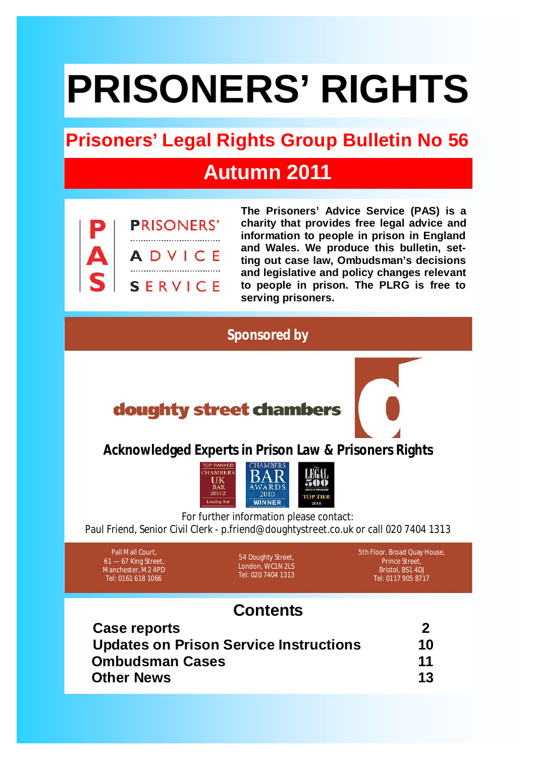# **PRISONERS' RIGHTS**

## **Prisoners' Legal Rights Group Bulletin No 56**

## **Autumn 2011**



**The Prisoners' Advice Service (PAS) is a charity that provides free legal advice and information to people in prison in England and Wales. We produce this bulletin, setting out case law, Ombudsman's decisions and legislative and policy changes relevant to people in prison. The PLRG is free to serving prisoners.**

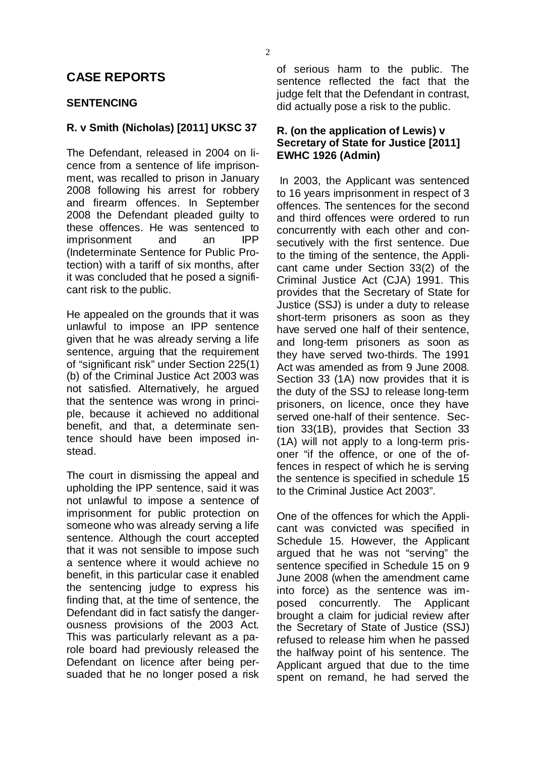#### **CASE REPORTS**

#### **SENTENCING**

#### **R. v Smith (Nicholas) [2011] UKSC 37 R. (on the application of Lewis) v**

The Defendant, released in 2004 on li- **EWHC 1926 (Admin)** cence from a sentence of life imprisonment, was recalled to prison in January 2008 following his arrest for robbery and firearm offences. In September 2008 the Defendant pleaded guilty to these offences. He was sentenced to<br>
imprisonment<br>
and<br>  $\overline{P}$  and<br>  $\overline{P}$ imprisonment and an (Indeterminate Sentence for Public Protection) with a tariff of six months, after it was concluded that he posed a significant risk to the public.

He appealed on the grounds that it was unlawful to impose an IPP sentence given that he was already serving a life sentence, arguing that the requirement of "significant risk" under Section 225(1) (b) of the Criminal Justice Act 2003 was not satisfied. Alternatively, he argued that the sentence was wrong in principle, because it achieved no additional benefit, and that, a determinate sentence should have been imposed instead.

The court in dismissing the appeal and upholding the IPP sentence, said it was not unlawful to impose a sentence of imprisonment for public protection on someone who was already serving a life sentence. Although the court accepted that it was not sensible to impose such a sentence where it would achieve no benefit, in this particular case it enabled the sentencing judge to express his finding that, at the time of sentence, the Defendant did in fact satisfy the dangerousness provisions of the 2003 Act. This was particularly relevant as a parole board had previously released the Defendant on licence after being persuaded that he no longer posed a risk of serious harm to the public. The sentence reflected the fact that the judge felt that the Defendant in contrast, did actually pose a risk to the public.

## **Secretary of State for Justice [2011]**

In 2003, the Applicant was sentenced to 16 years imprisonment in respect of 3 offences. The sentences for the second and third offences were ordered to run concurrently with each other and consecutively with the first sentence. Due to the timing of the sentence, the Applicant came under Section 33(2) of the Criminal Justice Act (CJA) 1991. This provides that the Secretary of State for Justice (SSJ) is under a duty to release short-term prisoners as soon as they have served one half of their sentence, and long-term prisoners as soon as they have served two-thirds. The 1991 Act was amended as from 9 June 2008. Section 33 (1A) now provides that it is the duty of the SSJ to release long-term prisoners, on licence, once they have served one-half of their sentence. Section 33(1B), provides that Section 33 (1A) will not apply to a long-term prisoner "if the offence, or one of the offences in respect of which he is serving the sentence is specified in schedule 15 to the Criminal Justice Act 2003".

One of the offences for which the Applicant was convicted was specified in Schedule 15. However, the Applicant argued that he was not "serving" the sentence specified in Schedule 15 on 9 June 2008 (when the amendment came into force) as the sentence was imposed concurrently. The Applicant brought a claim for judicial review after the Secretary of State of Justice (SSJ) refused to release him when he passed the halfway point of his sentence. The Applicant argued that due to the time spent on remand, he had served the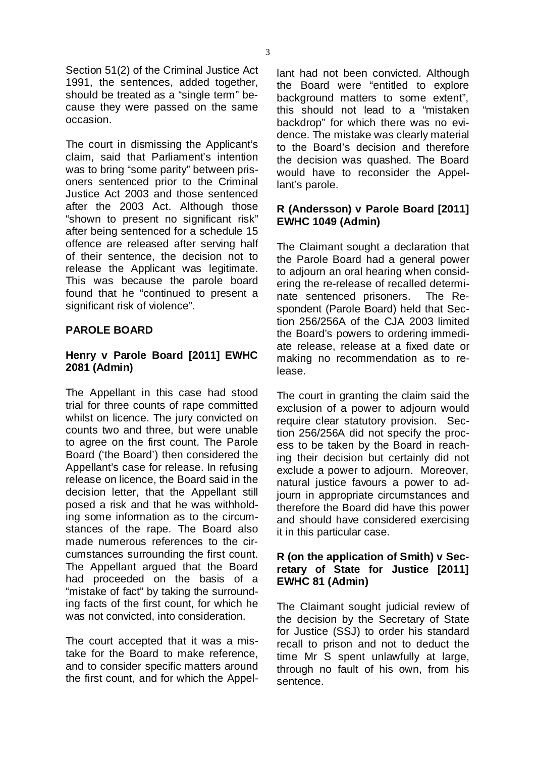Section 51(2) of the Criminal Justice Act 1991, the sentences, added together, should be treated as a "single term" because they were passed on the same occasion.

The court in dismissing the Applicant's claim, said that Parliament's intention was to bring "some parity" between prisoners sentenced prior to the Criminal Justice Act 2003 and those sentenced after the 2003 Act. Although those "shown to present no significant risk" after being sentenced for a schedule 15 offence are released after serving half of their sentence, the decision not to release the Applicant was legitimate. This was because the parole board found that he "continued to present a significant risk of violence".

#### **PAROLE BOARD**

#### **Henry v Parole Board [2011] EWHC 2081 (Admin)**

The Appellant in this case had stood trial for three counts of rape committed whilst on licence. The jury convicted on counts two and three, but were unable to agree on the first count. The Parole Board ('the Board') then considered the Appellant's case for release. In refusing release on licence, the Board said in the decision letter, that the Appellant still posed a risk and that he was withholding some information as to the circumstances of the rape. The Board also made numerous references to the circumstances surrounding the first count. The Appellant argued that the Board had proceeded on the basis of a "mistake of fact" by taking the surrounding facts of the first count, for which he was not convicted, into consideration.

The court accepted that it was a mistake for the Board to make reference, and to consider specific matters around the first count, and for which the Appellant had not been convicted. Although the Board were "entitled to explore background matters to some extent", this should not lead to a "mistaken backdrop" for which there was no evidence. The mistake was clearly material to the Board's decision and therefore the decision was quashed. The Board would have to reconsider the Appellant's parole.

#### **R (Andersson) v Parole Board [2011] EWHC 1049 (Admin)**

The Claimant sought a declaration that the Parole Board had a general power to adjourn an oral hearing when considering the re-release of recalled determinate sentenced prisoners. The Respondent (Parole Board) held that Section 256/256A of the CJA 2003 limited the Board's powers to ordering immediate release, release at a fixed date or making no recommendation as to release.

The court in granting the claim said the exclusion of a power to adjourn would require clear statutory provision. Section 256/256A did not specify the process to be taken by the Board in reaching their decision but certainly did not exclude a power to adjourn. Moreover, natural justice favours a power to adjourn in appropriate circumstances and therefore the Board did have this power and should have considered exercising it in this particular case.

#### **R (on the application of Smith) v Secretary of State for Justice [2011] EWHC 81 (Admin)**

The Claimant sought judicial review of the decision by the Secretary of State for Justice (SSJ) to order his standard recall to prison and not to deduct the time Mr S spent unlawfully at large, through no fault of his own, from his sentence.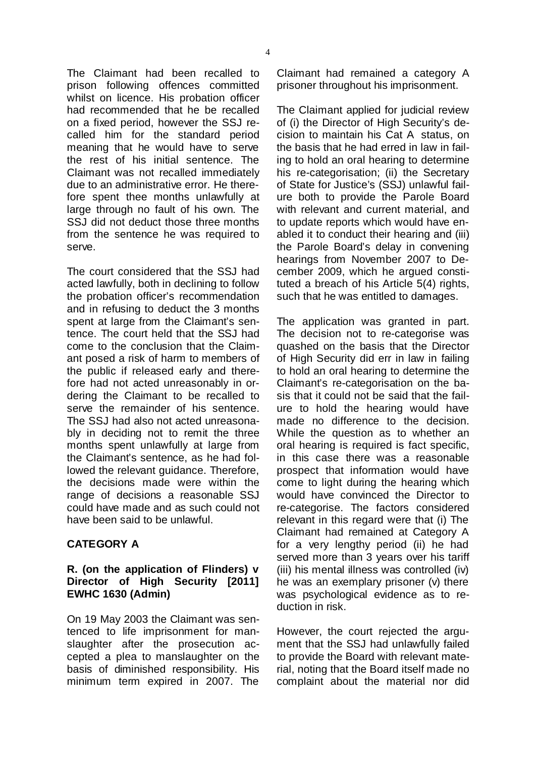The Claimant had been recalled to prison following offences committed whilst on licence. His probation officer had recommended that he be recalled on a fixed period, however the SSJ recalled him for the standard period meaning that he would have to serve the rest of his initial sentence. The Claimant was not recalled immediately due to an administrative error. He therefore spent thee months unlawfully at large through no fault of his own. The SSJ did not deduct those three months from the sentence he was required to serve.

The court considered that the SSJ had acted lawfully, both in declining to follow the probation officer's recommendation and in refusing to deduct the 3 months spent at large from the Claimant's sentence. The court held that the SSJ had come to the conclusion that the Claimant posed a risk of harm to members of the public if released early and therefore had not acted unreasonably in ordering the Claimant to be recalled to serve the remainder of his sentence. The SSJ had also not acted unreasonably in deciding not to remit the three months spent unlawfully at large from the Claimant's sentence, as he had followed the relevant guidance. Therefore, the decisions made were within the range of decisions a reasonable SSJ could have made and as such could not have been said to be unlawful.

#### **CATEGORY A**

#### **R. (on the application of Flinders) v Director of High Security [2011] EWHC 1630 (Admin)**

On 19 May 2003 the Claimant was sentenced to life imprisonment for manslaughter after the prosecution accepted a plea to manslaughter on the basis of diminished responsibility. His minimum term expired in 2007. The

Claimant had remained a category A prisoner throughout his imprisonment.

The Claimant applied for judicial review of (i) the Director of High Security's decision to maintain his Cat A status, on the basis that he had erred in law in failing to hold an oral hearing to determine his re-categorisation; (ii) the Secretary of State for Justice's (SSJ) unlawful failure both to provide the Parole Board with relevant and current material, and to update reports which would have enabled it to conduct their hearing and (iii) the Parole Board's delay in convening hearings from November 2007 to December 2009, which he argued constituted a breach of his Article 5(4) rights, such that he was entitled to damages.

The application was granted in part. The decision not to re-categorise was quashed on the basis that the Director of High Security did err in law in failing to hold an oral hearing to determine the Claimant's re-categorisation on the basis that it could not be said that the failure to hold the hearing would have made no difference to the decision. While the question as to whether an oral hearing is required is fact specific, in this case there was a reasonable prospect that information would have come to light during the hearing which would have convinced the Director to re-categorise. The factors considered relevant in this regard were that (i) The Claimant had remained at Category A for a very lengthy period (ii) he had served more than 3 years over his tariff (iii) his mental illness was controlled (iv) he was an exemplary prisoner (v) there was psychological evidence as to reduction in risk.

However, the court rejected the argument that the SSJ had unlawfully failed to provide the Board with relevant material, noting that the Board itself made no complaint about the material nor did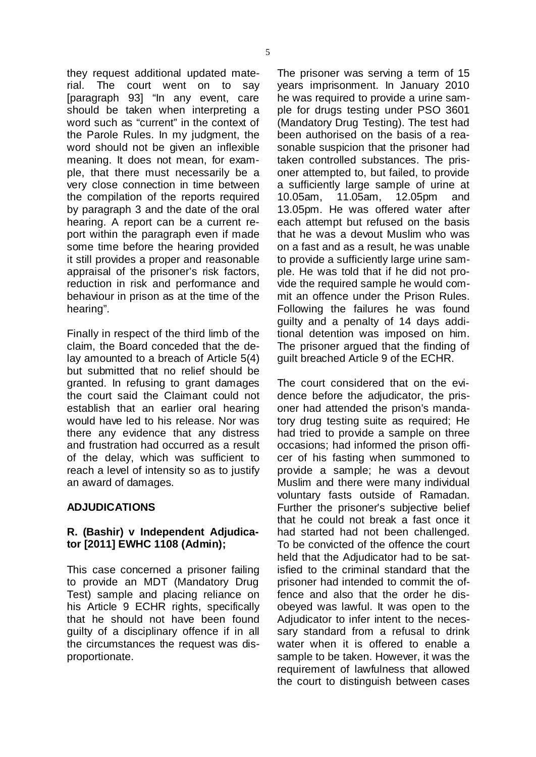they request additional updated material. The court went on to say [paragraph 93] "In any event, care should be taken when interpreting a word such as "current" in the context of the Parole Rules. In my judgment, the word should not be given an inflexible meaning. It does not mean, for example, that there must necessarily be a very close connection in time between the compilation of the reports required by paragraph 3 and the date of the oral hearing. A report can be a current report within the paragraph even if made some time before the hearing provided it still provides a proper and reasonable appraisal of the prisoner's risk factors, reduction in risk and performance and behaviour in prison as at the time of the hearing".

Finally in respect of the third limb of the claim, the Board conceded that the delay amounted to a breach of Article 5(4) but submitted that no relief should be granted. In refusing to grant damages the court said the Claimant could not establish that an earlier oral hearing would have led to his release. Nor was there any evidence that any distress and frustration had occurred as a result of the delay, which was sufficient to reach a level of intensity so as to justify an award of damages.

#### **ADJUDICATIONS**

#### **R. (Bashir) v Independent Adjudicator [2011] EWHC 1108 (Admin);**

This case concerned a prisoner failing to provide an MDT (Mandatory Drug Test) sample and placing reliance on his Article 9 ECHR rights, specifically that he should not have been found guilty of a disciplinary offence if in all the circumstances the request was disproportionate.

The prisoner was serving a term of 15 years imprisonment. In January 2010 he was required to provide a urine sample for drugs testing under PSO 3601 (Mandatory Drug Testing). The test had been authorised on the basis of a reasonable suspicion that the prisoner had taken controlled substances. The prisoner attempted to, but failed, to provide a sufficiently large sample of urine at 10.05am, 11.05am, 12.05pm and 13.05pm. He was offered water after each attempt but refused on the basis that he was a devout Muslim who was on a fast and as a result, he was unable to provide a sufficiently large urine sample. He was told that if he did not provide the required sample he would commit an offence under the Prison Rules. Following the failures he was found guilty and a penalty of 14 days additional detention was imposed on him. The prisoner argued that the finding of guilt breached Article 9 of the ECHR.

The court considered that on the evidence before the adjudicator, the prisoner had attended the prison's mandatory drug testing suite as required; He had tried to provide a sample on three occasions; had informed the prison officer of his fasting when summoned to provide a sample; he was a devout Muslim and there were many individual voluntary fasts outside of Ramadan. Further the prisoner's subjective belief that he could not break a fast once it had started had not been challenged. To be convicted of the offence the court held that the Adjudicator had to be satisfied to the criminal standard that the prisoner had intended to commit the offence and also that the order he disobeyed was lawful. It was open to the Adjudicator to infer intent to the necessary standard from a refusal to drink water when it is offered to enable a sample to be taken. However, it was the requirement of lawfulness that allowed the court to distinguish between cases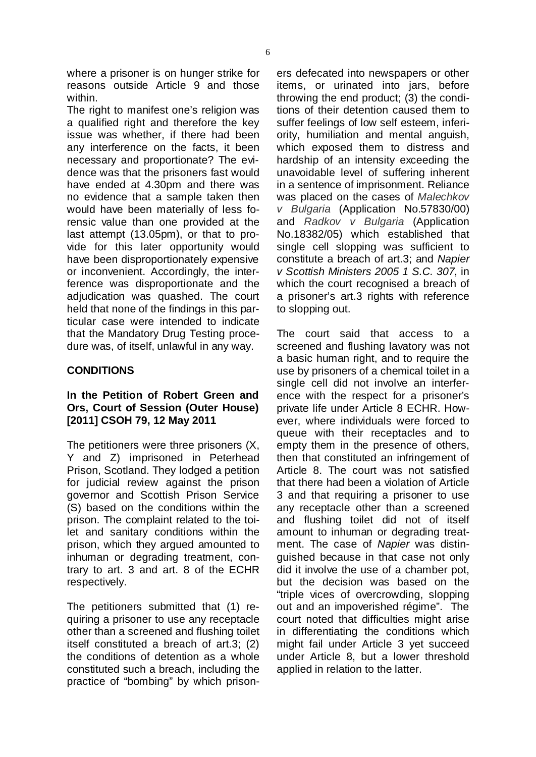where a prisoner is on hunger strike for reasons outside Article 9 and those within.

The right to manifest one's religion was a qualified right and therefore the key issue was whether, if there had been any interference on the facts, it been necessary and proportionate? The evidence was that the prisoners fast would have ended at 4.30pm and there was no evidence that a sample taken then would have been materially of less forensic value than one provided at the last attempt (13.05pm), or that to provide for this later opportunity would have been disproportionately expensive or inconvenient. Accordingly, the interference was disproportionate and the adjudication was quashed. The court held that none of the findings in this particular case were intended to indicate that the Mandatory Drug Testing procedure was, of itself, unlawful in any way.

#### **CONDITIONS**

#### **In the Petition of Robert Green and Ors, Court of Session (Outer House) [2011] CSOH 79, 12 May 2011**

The petitioners were three prisoners (X, Y and Z) imprisoned in Peterhead Prison, Scotland. They lodged a petition for judicial review against the prison governor and Scottish Prison Service (S) based on the conditions within the prison. The complaint related to the toilet and sanitary conditions within the prison, which they argued amounted to inhuman or degrading treatment, contrary to art. 3 and art. 8 of the ECHR respectively.

The petitioners submitted that (1) requiring a prisoner to use any receptacle other than a screened and flushing toilet itself constituted a breach of art.3; (2) the conditions of detention as a whole constituted such a breach, including the practice of "bombing" by which prisoners defecated into newspapers or other items, or urinated into jars, before throwing the end product; (3) the conditions of their detention caused them to suffer feelings of low self esteem, inferiority, humiliation and mental anguish, which exposed them to distress and hardship of an intensity exceeding the unavoidable level of suffering inherent in a sentence of imprisonment. Reliance was placed on the cases of *Malechkov* (Application No.57830/00) *v Bulgaria* and (Application *Radkov v Bulgaria* No.18382/05) which established that single cell slopping was sufficient to constitute a breach of art.3; and *Napier* , in *v Scottish Ministers 2005 1 S.C. 307* which the court recognised a breach of a prisoner's art.3 rights with reference to slopping out.

The court said that access to a screened and flushing lavatory was not a basic human right, and to require the use by prisoners of a chemical toilet in a single cell did not involve an interference with the respect for a prisoner's private life under Article 8 ECHR. However, where individuals were forced to queue with their receptacles and to empty them in the presence of others, then that constituted an infringement of Article 8. The court was not satisfied that there had been a violation of Article 3 and that requiring a prisoner to use any receptacle other than a screened and flushing toilet did not of itself amount to inhuman or degrading treatment. The case of Napier was distinguished because in that case not only did it involve the use of a chamber pot, but the decision was based on the "triple vices of overcrowding, slopping out and an impoverished régime". The court noted that difficulties might arise in differentiating the conditions which might fail under Article 3 yet succeed under Article 8, but a lower threshold applied in relation to the latter.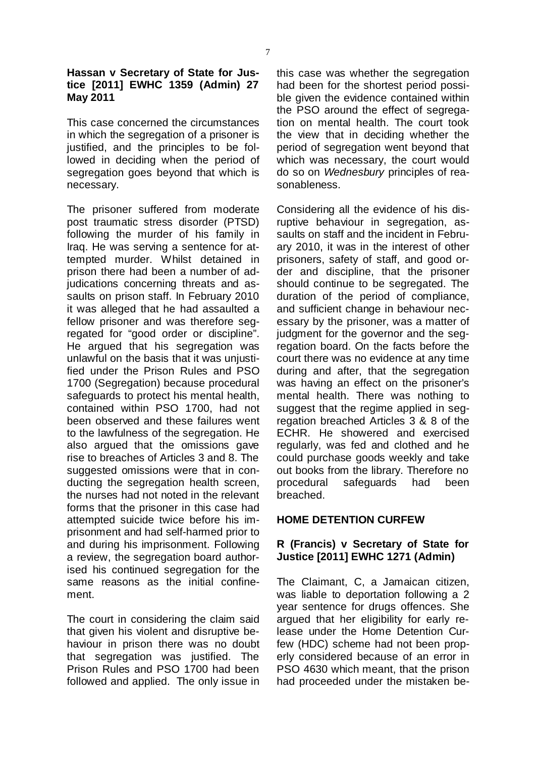#### **Hassan v Secretary of State for Justice [2011] EWHC 1359 (Admin) 27 May 2011**

This case concerned the circumstances in which the segregation of a prisoner is justified, and the principles to be followed in deciding when the period of segregation goes beyond that which is necessary.

The prisoner suffered from moderate post traumatic stress disorder (PTSD) following the murder of his family in Iraq. He was serving a sentence for attempted murder. Whilst detained in prison there had been a number of adjudications concerning threats and assaults on prison staff. In February 2010 it was alleged that he had assaulted a fellow prisoner and was therefore segregated for "good order or discipline". He argued that his segregation was unlawful on the basis that it was unjustified under the Prison Rules and PSO 1700 (Segregation) because procedural safeguards to protect his mental health, contained within PSO 1700, had not been observed and these failures went to the lawfulness of the segregation. He also argued that the omissions gave rise to breaches of Articles 3 and 8. The suggested omissions were that in conducting the segregation health screen, the nurses had not noted in the relevant forms that the prisoner in this case had attempted suicide twice before his imprisonment and had self-harmed prior to and during his imprisonment. Following a review, the segregation board authorised his continued segregation for the same reasons as the initial confinement.

The court in considering the claim said that given his violent and disruptive behaviour in prison there was no doubt that segregation was justified. The Prison Rules and PSO 1700 had been followed and applied. The only issue in this case was whether the segregation had been for the shortest period possible given the evidence contained within the PSO around the effect of segregation on mental health. The court took the view that in deciding whether the period of segregation went beyond that which was necessary, the court would do so on Wednesbury principles of reasonableness.

Considering all the evidence of his disruptive behaviour in segregation, assaults on staff and the incident in February 2010, it was in the interest of other prisoners, safety of staff, and good order and discipline, that the prisoner should continue to be segregated. The duration of the period of compliance, and sufficient change in behaviour necessary by the prisoner, was a matter of judgment for the governor and the segregation board. On the facts before the court there was no evidence at any time during and after, that the segregation was having an effect on the prisoner's mental health. There was nothing to suggest that the regime applied in segregation breached Articles 3 & 8 of the ECHR. He showered and exercised regularly, was fed and clothed and he could purchase goods weekly and take out books from the library. Therefore no procedural safeguards had been breached.

#### **HOME DETENTION CURFEW**

#### **R (Francis) v Secretary of State for Justice [2011] EWHC 1271 (Admin)**

The Claimant, C, a Jamaican citizen, was liable to deportation following a 2 year sentence for drugs offences. She argued that her eligibility for early release under the Home Detention Curfew (HDC) scheme had not been properly considered because of an error in PSO 4630 which meant, that the prison had proceeded under the mistaken be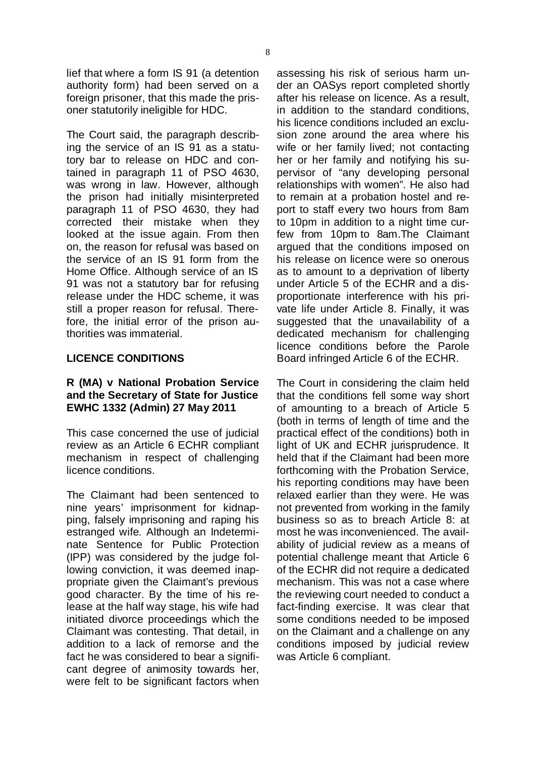lief that where a form IS 91 (a detention authority form) had been served on a foreign prisoner, that this made the prisoner statutorily ineligible for HDC.

The Court said, the paragraph describing the service of an IS 91 as a statutory bar to release on HDC and contained in paragraph 11 of PSO 4630, was wrong in law. However, although the prison had initially misinterpreted paragraph 11 of PSO 4630, they had corrected their mistake when they looked at the issue again. From then on, the reason for refusal was based on the service of an IS 91 form from the Home Office. Although service of an IS 91 was not a statutory bar for refusing release under the HDC scheme, it was still a proper reason for refusal. Therefore, the initial error of the prison authorities was immaterial.

#### **LICENCE CONDITIONS**

#### **R (MA) v National Probation Service and the Secretary of State for Justice EWHC 1332 (Admin) 27 May 2011**

This case concerned the use of judicial review as an Article 6 ECHR compliant mechanism in respect of challenging licence conditions.

The Claimant had been sentenced to nine years' imprisonment for kidnapping, falsely imprisoning and raping his estranged wife. Although an Indeterminate Sentence for Public Protection (IPP) was considered by the judge following conviction, it was deemed inappropriate given the Claimant's previous good character. By the time of his release at the half way stage, his wife had initiated divorce proceedings which the Claimant was contesting. That detail, in addition to a lack of remorse and the fact he was considered to bear a significant degree of animosity towards her, were felt to be significant factors when assessing his risk of serious harm under an OASys report completed shortly after his release on licence. As a result, in addition to the standard conditions, his licence conditions included an exclusion zone around the area where his wife or her family lived; not contacting her or her family and notifying his supervisor of "any developing personal relationships with women". He also had to remain at a probation hostel and report to staff every two hours from 8am to 10pm in addition to a night time curfew from 10pm to 8am.The Claimant argued that the conditions imposed on his release on licence were so onerous as to amount to a deprivation of liberty under Article 5 of the ECHR and a disproportionate interference with his private life under Article 8. Finally, it was suggested that the unavailability of a dedicated mechanism for challenging licence conditions before the Parole Board infringed Article 6 of the ECHR.

The Court in considering the claim held that the conditions fell some way short of amounting to a breach of Article 5 (both in terms of length of time and the practical effect of the conditions) both in light of UK and ECHR jurisprudence. It held that if the Claimant had been more forthcoming with the Probation Service, his reporting conditions may have been relaxed earlier than they were. He was not prevented from working in the family business so as to breach Article 8: at most he was inconvenienced. The availability of judicial review as a means of potential challenge meant that Article 6 of the ECHR did not require a dedicated mechanism. This was not a case where the reviewing court needed to conduct a fact-finding exercise. It was clear that some conditions needed to be imposed on the Claimant and a challenge on any conditions imposed by judicial review was Article 6 compliant.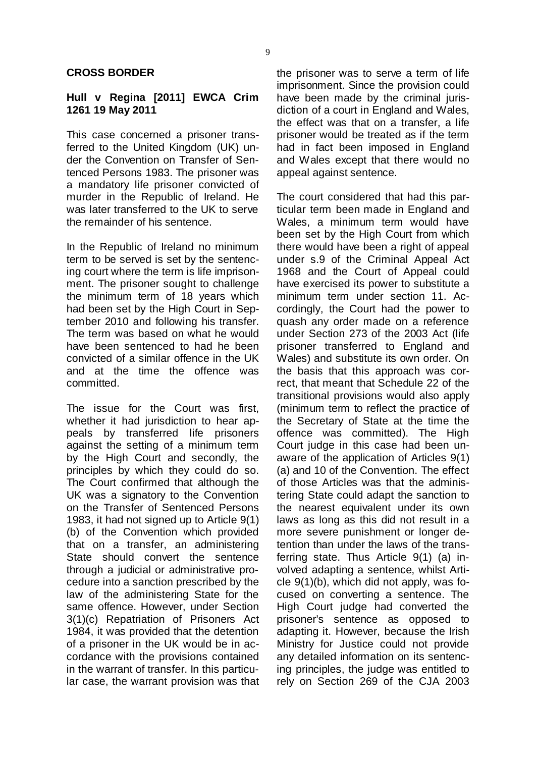#### **CROSS BORDER**

#### **Hull v Regina [2011] EWCA Crim 1261 19 May 2011**

This case concerned a prisoner transferred to the United Kingdom (UK) under the Convention on Transfer of Sentenced Persons 1983. The prisoner was a mandatory life prisoner convicted of murder in the Republic of Ireland. He was later transferred to the UK to serve the remainder of his sentence.

In the Republic of Ireland no minimum term to be served is set by the sentencing court where the term is life imprisonment. The prisoner sought to challenge the minimum term of 18 years which had been set by the High Court in September 2010 and following his transfer. The term was based on what he would have been sentenced to had he been convicted of a similar offence in the UK and at the time the offence was committed.

The issue for the Court was first, whether it had jurisdiction to hear appeals by transferred life prisoners against the setting of a minimum term by the High Court and secondly, the principles by which they could do so. The Court confirmed that although the UK was a signatory to the Convention on the Transfer of Sentenced Persons 1983, it had not signed up to Article 9(1) (b) of the Convention which provided that on a transfer, an administering State should convert the sentence through a judicial or administrative procedure into a sanction prescribed by the law of the administering State for the same offence. However, under Section 3(1)(c) Repatriation of Prisoners Act 1984, it was provided that the detention of a prisoner in the UK would be in accordance with the provisions contained in the warrant of transfer. In this particular case, the warrant provision was that the prisoner was to serve a term of life imprisonment. Since the provision could have been made by the criminal jurisdiction of a court in England and Wales, the effect was that on a transfer, a life prisoner would be treated as if the term had in fact been imposed in England and Wales except that there would no appeal against sentence.

The court considered that had this particular term been made in England and Wales, a minimum term would have been set by the High Court from which there would have been a right of appeal under s.9 of the Criminal Appeal Act 1968 and the Court of Appeal could have exercised its power to substitute a minimum term under section 11. Accordingly, the Court had the power to quash any order made on a reference under Section 273 of the 2003 Act (life prisoner transferred to England and Wales) and substitute its own order. On the basis that this approach was correct, that meant that Schedule 22 of the transitional provisions would also apply (minimum term to reflect the practice of the Secretary of State at the time the offence was committed). The High Court judge in this case had been unaware of the application of Articles 9(1) (a) and 10 of the Convention. The effect of those Articles was that the administering State could adapt the sanction to the nearest equivalent under its own laws as long as this did not result in a more severe punishment or longer detention than under the laws of the transferring state. Thus Article 9(1) (a) involved adapting a sentence, whilst Article 9(1)(b), which did not apply, was focused on converting a sentence. The High Court judge had converted the prisoner's sentence as opposed to adapting it. However, because the Irish Ministry for Justice could not provide any detailed information on its sentencing principles, the judge was entitled to rely on Section 269 of the CJA 2003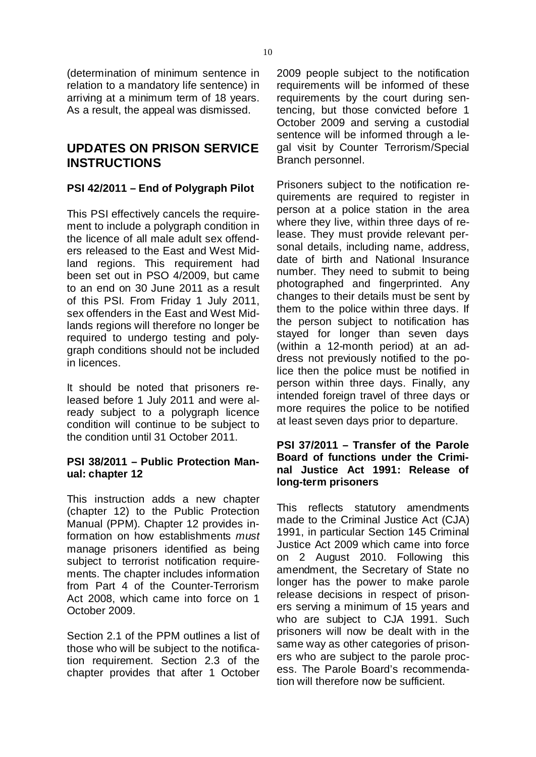(determination of minimum sentence in relation to a mandatory life sentence) in arriving at a minimum term of 18 years. As a result, the appeal was dismissed.

#### **UPDATES ON PRISON SERVICE INSTRUCTIONS**

#### **PSI 42/2011 – End of Polygraph Pilot**

This PSI effectively cancels the requirement to include a polygraph condition in the licence of all male adult sex offenders released to the East and West Midland regions. This requirement had been set out in PSO 4/2009, but came to an end on 30 June 2011 as a result of this PSI. From Friday 1 July 2011, sex offenders in the East and West Midlands regions will therefore no longer be required to undergo testing and polygraph conditions should not be included in licences.

It should be noted that prisoners released before 1 July 2011 and were already subject to a polygraph licence condition will continue to be subject to the condition until 31 October 2011.

#### **PSI 38/2011 – Public Protection Manual: chapter 12**

This instruction adds a new chapter (chapter 12) to the Public Protection Manual (PPM). Chapter 12 provides information on how establishments *must*manage prisoners identified as being subject to terrorist notification requirements. The chapter includes information from Part 4 of the Counter-Terrorism Act 2008, which came into force on 1 October 2009.

Section 2.1 of the PPM outlines a list of those who will be subject to the notification requirement. Section 2.3 of the chapter provides that after 1 October 2009 people subject to the notification requirements will be informed of these requirements by the court during sentencing, but those convicted before 1 October 2009 and serving a custodial sentence will be informed through a legal visit by Counter Terrorism/Special Branch personnel.

Prisoners subject to the notification requirements are required to register in person at a police station in the area where they live, within three days of release. They must provide relevant personal details, including name, address, date of birth and National Insurance number. They need to submit to being photographed and fingerprinted. Any changes to their details must be sent by them to the police within three days. If the person subject to notification has stayed for longer than seven days (within a 12-month period) at an address not previously notified to the police then the police must be notified in person within three days. Finally, any intended foreign travel of three days or more requires the police to be notified at least seven days prior to departure.

#### **PSI 37/2011 – Transfer of the Parole Board of functions under the Criminal Justice Act 1991: Release of long-term prisoners**

This reflects statutory amendments made to the Criminal Justice Act (CJA) 1991, in particular Section 145 Criminal Justice Act 2009 which came into force on 2 August 2010. Following this amendment, the Secretary of State no longer has the power to make parole release decisions in respect of prisoners serving a minimum of 15 years and who are subject to CJA 1991. Such prisoners will now be dealt with in the same way as other categories of prisoners who are subject to the parole process. The Parole Board's recommendation will therefore now be sufficient.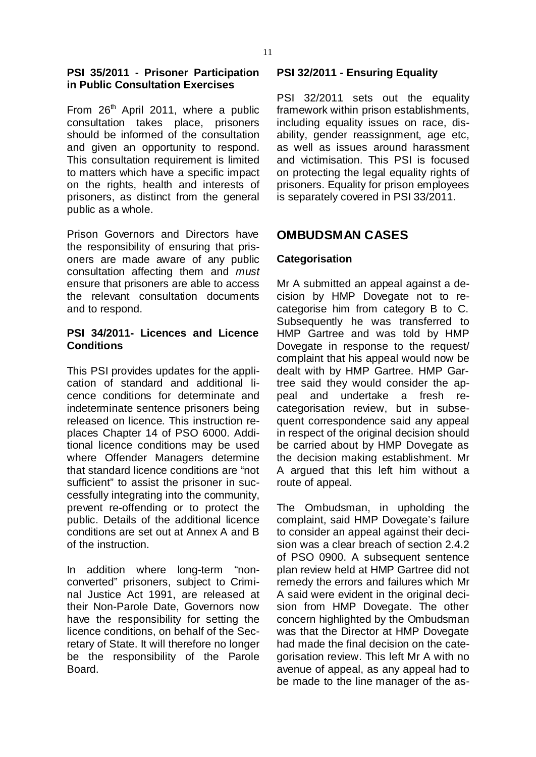#### **PSI 35/2011 - Prisoner Participation in Public Consultation Exercises**

From 26<sup>th</sup> April 2011, where a public consultation takes place, prisoners should be informed of the consultation and given an opportunity to respond. This consultation requirement is limited to matters which have a specific impact on the rights, health and interests of prisoners, as distinct from the general public as a whole.

Prison Governors and Directors have the responsibility of ensuring that prisoners are made aware of any public consultation affecting them and *must*ensure that prisoners are able to access the relevant consultation documents and to respond.

#### **PSI 34/2011- Licences and Licence Conditions**

This PSI provides updates for the application of standard and additional licence conditions for determinate and indeterminate sentence prisoners being released on licence. This instruction replaces Chapter 14 of PSO 6000. Additional licence conditions may be used where Offender Managers determine that standard licence conditions are "not sufficient" to assist the prisoner in successfully integrating into the community, prevent re-offending or to protect the public. Details of the additional licence conditions are set out at Annex A and B of the instruction.

In addition where long-term "nonconverted" prisoners, subject to Criminal Justice Act 1991, are released at their Non-Parole Date, Governors now have the responsibility for setting the licence conditions, on behalf of the Secretary of State. It will therefore no longer be the responsibility of the Parole Board.

#### **PSI 32/2011 - Ensuring Equality**

PSI 32/2011 sets out the equality framework within prison establishments, including equality issues on race, disability, gender reassignment, age etc, as well as issues around harassment and victimisation. This PSI is focused on protecting the legal equality rights of prisoners. Equality for prison employees is separately covered in PSI 33/2011.

#### **OMBUDSMAN CASES**

#### **Categorisation**

Mr A submitted an appeal against a decision by HMP Dovegate not to recategorise him from category B to C. Subsequently he was transferred to HMP Gartree and was told by HMP Dovegate in response to the request/ complaint that his appeal would now be dealt with by HMP Gartree. HMP Gartree said they would consider the appeal and undertake a fresh recategorisation review, but in subsequent correspondence said any appeal in respect of the original decision should be carried about by HMP Dovegate as the decision making establishment. Mr A argued that this left him without a route of appeal.

The Ombudsman, in upholding the complaint, said HMP Dovegate's failure to consider an appeal against their decision was a clear breach of section 2.4.2 of PSO 0900. A subsequent sentence plan review held at HMP Gartree did not remedy the errors and failures which Mr A said were evident in the original decision from HMP Dovegate. The other concern highlighted by the Ombudsman was that the Director at HMP Dovegate had made the final decision on the categorisation review. This left Mr A with no avenue of appeal, as any appeal had to be made to the line manager of the as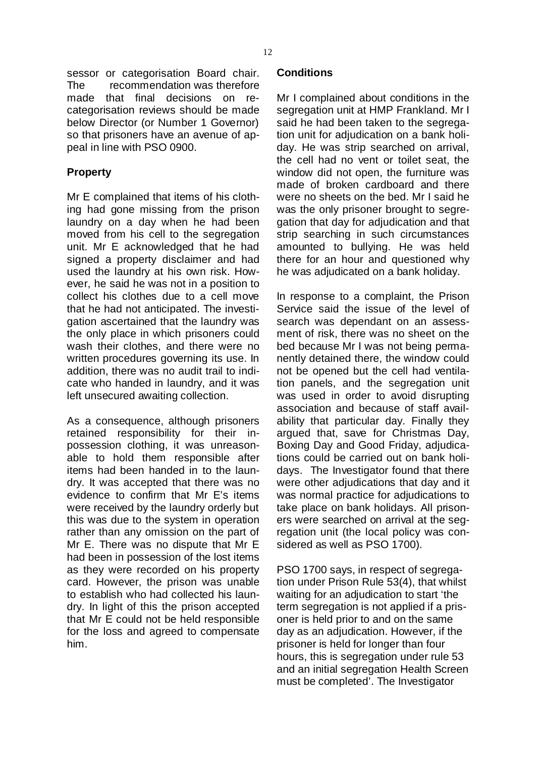sessor or categorisation Board chair. The recommendation was therefore made that final decisions on recategorisation reviews should be made below Director (or Number 1 Governor) so that prisoners have an avenue of appeal in line with PSO 0900.

#### **Property**

Mr E complained that items of his clothing had gone missing from the prison laundry on a day when he had been moved from his cell to the segregation unit. Mr E acknowledged that he had signed a property disclaimer and had used the laundry at his own risk. However, he said he was not in a position to collect his clothes due to a cell move that he had not anticipated. The investigation ascertained that the laundry was the only place in which prisoners could wash their clothes, and there were no written procedures governing its use. In addition, there was no audit trail to indicate who handed in laundry, and it was left unsecured awaiting collection.

As a consequence, although prisoners retained responsibility for their inpossession clothing, it was unreasonable to hold them responsible after items had been handed in to the laundry. It was accepted that there was no evidence to confirm that Mr E's items were received by the laundry orderly but this was due to the system in operation rather than any omission on the part of Mr E. There was no dispute that Mr E had been in possession of the lost items as they were recorded on his property card. However, the prison was unable to establish who had collected his laundry. In light of this the prison accepted that Mr E could not be held responsible for the loss and agreed to compensate him.

#### **Conditions**

Mr I complained about conditions in the segregation unit at HMP Frankland. Mr I said he had been taken to the segregation unit for adjudication on a bank holiday. He was strip searched on arrival, the cell had no vent or toilet seat, the window did not open, the furniture was made of broken cardboard and there were no sheets on the bed. Mr I said he was the only prisoner brought to segregation that day for adjudication and that strip searching in such circumstances amounted to bullying. He was held there for an hour and questioned why he was adjudicated on a bank holiday.

In response to a complaint, the Prison Service said the issue of the level of search was dependant on an assessment of risk, there was no sheet on the bed because Mr I was not being permanently detained there, the window could not be opened but the cell had ventilation panels, and the segregation unit was used in order to avoid disrupting association and because of staff availability that particular day. Finally they argued that, save for Christmas Day, Boxing Day and Good Friday, adjudications could be carried out on bank holidays. The Investigator found that there were other adjudications that day and it was normal practice for adjudications to take place on bank holidays. All prisoners were searched on arrival at the segregation unit (the local policy was considered as well as PSO 1700).

PSO 1700 says, in respect of segregation under Prison Rule 53(4), that whilst waiting for an adjudication to start 'the term segregation is not applied if a prisoner is held prior to and on the same day as an adjudication. However, if the prisoner is held for longer than four hours, this is segregation under rule 53 and an initial segregation Health Screen must be completed'. The Investigator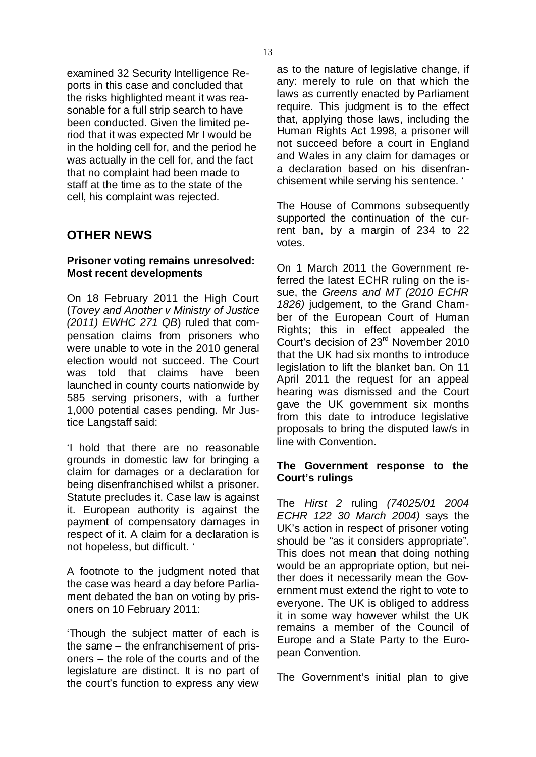examined 32 Security Intelligence Reports in this case and concluded that the risks highlighted meant it was reasonable for a full strip search to have been conducted. Given the limited period that it was expected Mr I would be in the holding cell for, and the period he was actually in the cell for, and the fact that no complaint had been made to staff at the time as to the state of the cell, his complaint was rejected.

#### **OTHER NEWS**

#### **Prisoner voting remains unresolved: Most recent developments**

On 18 February 2011 the High Court ( *Tovey and Another v Ministry of Justice (2011) EWHC 271 QB*) ruled that compensation claims from prisoners who were unable to vote in the 2010 general election would not succeed. The Court was told that claims have been launched in county courts nationwide by 585 serving prisoners, with a further 1,000 potential cases pending. Mr Justice Langstaff said:

'I hold that there are no reasonable grounds in domestic law for bringing a claim for damages or a declaration for being disenfranchised whilst a prisoner. Statute precludes it. Case law is against it. European authority is against the payment of compensatory damages in respect of it. A claim for a declaration is not hopeless, but difficult. '

A footnote to the judgment noted that the case was heard a day before Parliament debated the ban on voting by prisoners on 10 February 2011:

'Though the subject matter of each is the same – the enfranchisement of prisoners – the role of the courts and of the legislature are distinct. It is no part of the court's function to express any view

as to the nature of legislative change, if any: merely to rule on that which the laws as currently enacted by Parliament require. This judgment is to the effect that, applying those laws, including the Human Rights Act 1998, a prisoner will not succeed before a court in England and Wales in any claim for damages or a declaration based on his disenfranchisement while serving his sentence. '

The House of Commons subsequently supported the continuation of the current ban, by a margin of 234 to 22 votes.

On 1 March 2011 the Government referred the latest ECHR ruling on the issue, the *Greens and MT (2010 ECHR* 1826) judgement, to the Grand Chamber of the European Court of Human Rights; this in effect appealed the Court's decision of 23<sup>rd</sup> November 2010 that the UK had six months to introduce legislation to lift the blanket ban. On 11 April 2011 the request for an appeal hearing was dismissed and the Court gave the UK government six months from this date to introduce legislative proposals to bring the disputed law/s in line with Convention.

#### **The Government response to the Court's rulings**

The ruling *Hirst 2 (74025/01 2004 ECHR* 122 30 *March* 2004) says the UK's action in respect of prisoner voting should be "as it considers appropriate". This does not mean that doing nothing would be an appropriate option, but neither does it necessarily mean the Government must extend the right to vote to everyone. The UK is obliged to address it in some way however whilst the UK remains a member of the Council of Europe and a State Party to the European Convention.

The Government's initial plan to give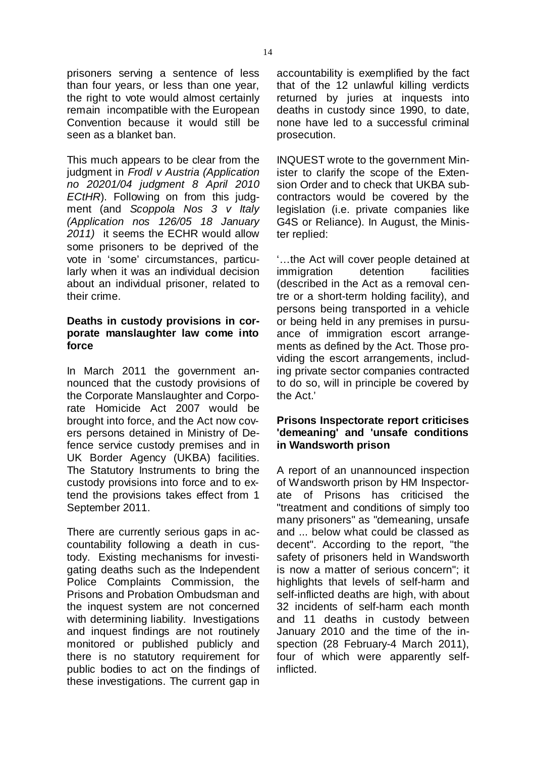prisoners serving a sentence of less than four years, or less than one year, the right to vote would almost certainly remain incompatible with the European Convention because it would still be seen as a blanket ban.

This much appears to be clear from the judgment in *Frodl v Austria (Application* ECtHR). Following on from this judgment (and *Scoppola Nos 3 v Italy* 2011) it seems the ECHR would allow some prisoners to be deprived of the vote in 'some' circumstances, particularly when it was an individual decision about an individual prisoner, related to their crime. *no 20201/04 judgment 8 April 2010 (Application nos 126/05 18 January*

#### **Deaths in custody provisions in corporate manslaughter law come into force**

In March 2011 the government announced that the custody provisions of the Corporate Manslaughter and Corporate Homicide Act 2007 would be brought into force, and the Act now covers persons detained in Ministry of Defence service custody premises and in UK Border Agency (UKBA) facilities. The Statutory Instruments to bring the custody provisions into force and to extend the provisions takes effect from 1 September 2011.

There are currently serious gaps in accountability following a death in custody. Existing mechanisms for investigating deaths such as the Independent Police Complaints Commission, the Prisons and Probation Ombudsman and the inquest system are not concerned with determining liability. Investigations and inquest findings are not routinely monitored or published publicly and there is no statutory requirement for public bodies to act on the findings of these investigations. The current gap in accountability is exemplified by the fact that of the 12 unlawful killing verdicts returned by juries at inquests into deaths in custody since 1990, to date, none have led to a successful criminal prosecution.

INQUEST wrote to the government Minister to clarify the scope of the Extension Order and to check that UKBA subcontractors would be covered by the legislation (i.e. private companies like G4S or Reliance). In August, the Minister replied:

'…the Act will cover people detained at immigration detention facilities (described in the Act as a removal centre or a short-term holding facility), and persons being transported in a vehicle or being held in any premises in pursuance of immigration escort arrangements as defined by the Act. Those providing the escort arrangements, including private sector companies contracted to do so, will in principle be covered by the Act.'

#### **Prisons Inspectorate report criticises 'demeaning' and 'unsafe conditions in Wandsworth prison**

A report of an unannounced inspection of Wandsworth prison by HM Inspectorate of Prisons has criticised the "treatment and conditions of simply too many prisoners" as "demeaning, unsafe and ... below what could be classed as decent". According to the report, "the safety of prisoners held in Wandsworth is now a matter of serious concern"; it highlights that levels of self-harm and self-inflicted deaths are high, with about 32 incidents of self-harm each month and 11 deaths in custody between January 2010 and the time of the inspection (28 February-4 March 2011), four of which were apparently selfinflicted.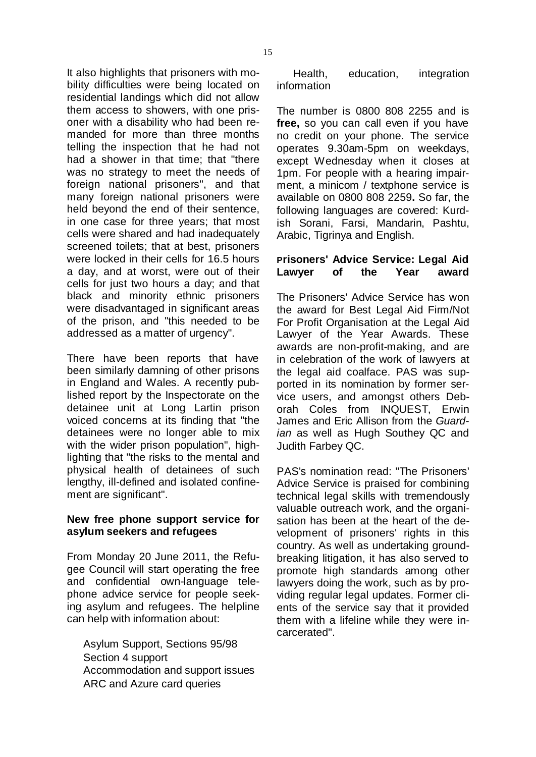It also highlights that prisoners with mobility difficulties were being located on residential landings which did not allow them access to showers, with one prisoner with a disability who had been remanded for more than three months telling the inspection that he had not had a shower in that time; that "there was no strategy to meet the needs of foreign national prisoners", and that many foreign national prisoners were held beyond the end of their sentence, in one case for three years; that most cells were shared and had inadequately screened toilets; that at best, prisoners were locked in their cells for 16.5 hours a day, and at worst, were out of their cells for just two hours a day; and that black and minority ethnic prisoners were disadvantaged in significant areas of the prison, and "this needed to be addressed as a matter of urgency".

There have been reports that have been similarly damning of other prisons in England and Wales. A recently published report by the Inspectorate on the detainee unit at Long Lartin prison voiced concerns at its finding that "the detainees were no longer able to mix with the wider prison population", highlighting that "the risks to the mental and physical health of detainees of such lengthy, ill-defined and isolated confinement are significant".

#### **New free phone support service for asylum seekers and refugees**

From Monday 20 June 2011, the Refugee Council will start operating the free and confidential own-language telephone advice service for people seeking asylum and refugees. The helpline can help with information about:

- Asylum Support, Sections 95/98 €
- Section 4 support €
- Accommodation and support issues €
- ARC and Azure card queries €

education, integration information €

The number is 0800 808 2255 and is free, so you can call even if you have no credit on your phone. The service operates 9.30am-5pm on weekdays, except Wednesday when it closes at 1pm. For people with a hearing impairment, a minicom / textphone service is available on 0800 808 2259 So far, the **.** following languages are covered: Kurdish Sorani, Farsi, Mandarin, Pashtu, Arabic, Tigrinya and English.

#### **Prisoners' Advice Service: Legal Aid Lawyer of the Year award**

The Prisoners' Advice Service has won the award for Best Legal Aid Firm/Not For Profit Organisation at the Legal Aid Lawyer of the Year Awards. These awards are non-profit-making, and are in celebration of the work of lawyers at the legal aid coalface. PAS was supported in its nomination by former service users, and amongst others Deborah Coles from INQUEST, Erwin James and Eric Allison from the *Guard*ian as well as Hugh Southey QC and Judith Farbey QC.

PAS's nomination read: "The Prisoners' Advice Service is praised for combining technical legal skills with tremendously valuable outreach work, and the organisation has been at the heart of the development of prisoners' rights in this country. As well as undertaking groundbreaking litigation, it has also served to promote high standards among other lawyers doing the work, such as by providing regular legal updates. Former clients of the service say that it provided them with a lifeline while they were incarcerated".